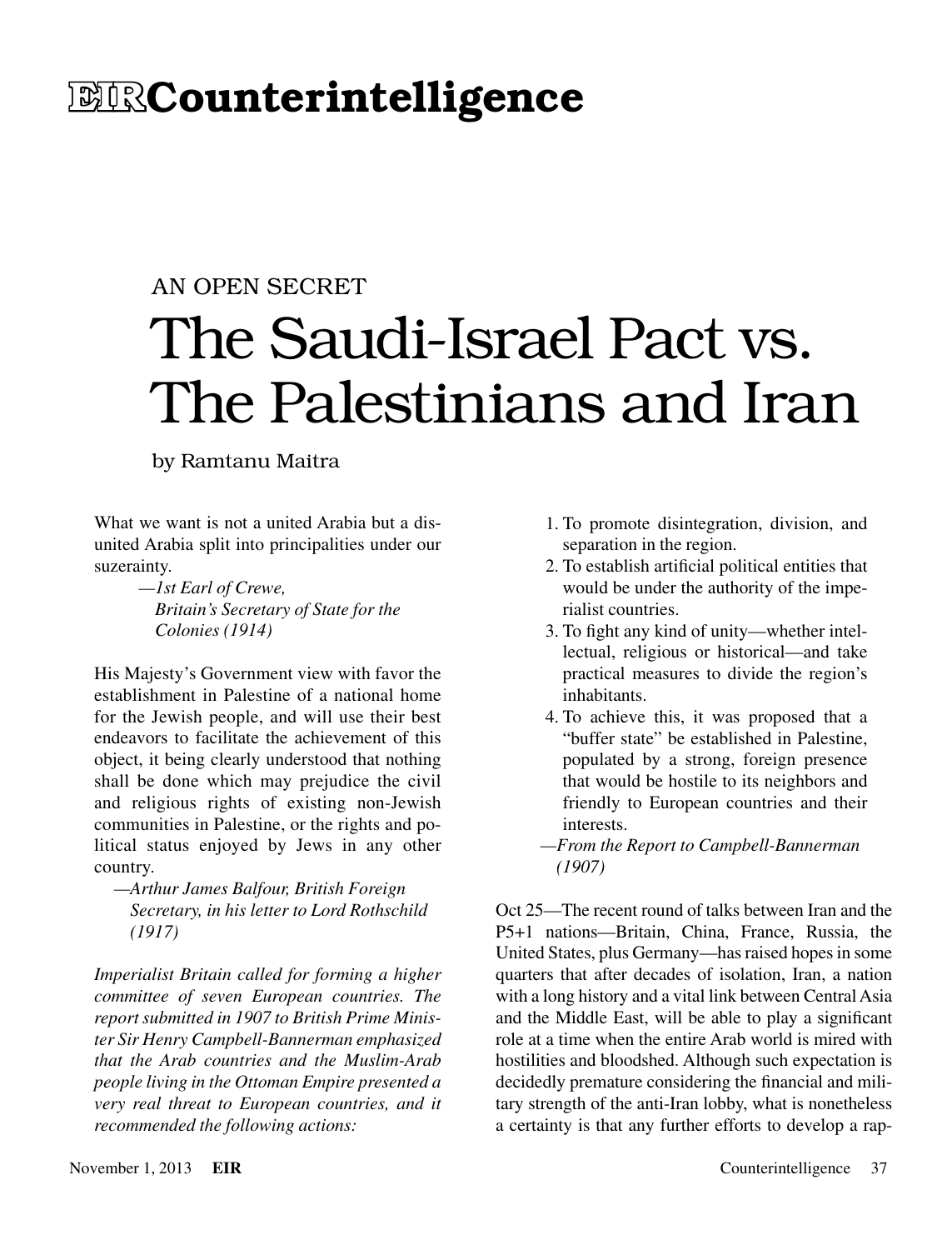# **EIRCounterintelligence**

## An Open Secret

# The Saudi-Israel Pact vs. The Palestinians and Iran

by Ramtanu Maitra

What we want is not a united Arabia but a disunited Arabia split into principalities under our suzerainty.

> *—1st Earl of Crewe, Britain's Secretary of State for the Colonies (1914)*

His Majesty's Government view with favor the establishment in Palestine of a national home for the Jewish people, and will use their best endeavors to facilitate the achievement of this object, it being clearly understood that nothing shall be done which may prejudice the civil and religious rights of existing non-Jewish communities in Palestine, or the rights and political status enjoyed by Jews in any other country.

*—Arthur James Balfour, British Foreign Secretary, in his letter to Lord Rothschild (1917)*

*Imperialist Britain called for forming a higher committee of seven European countries. The report submitted in 1907 to British Prime Minister Sir Henry Campbell-Bannerman emphasized that the Arab countries and the Muslim-Arab people living in the Ottoman Empire presented a very real threat to European countries, and it recommended the following actions:*

- 1. To promote disintegration, division, and separation in the region.
- 2. To establish artificial political entities that would be under the authority of the imperialist countries.
- 3. To fight any kind of unity—whether intellectual, religious or historical—and take practical measures to divide the region's inhabitants.
- 4. To achieve this, it was proposed that a "buffer state" be established in Palestine, populated by a strong, foreign presence that would be hostile to its neighbors and friendly to European countries and their interests.
- *—From the Report to Campbell-Bannerman (1907)*

Oct 25—The recent round of talks between Iran and the P5+1 nations—Britain, China, France, Russia, the United States, plus Germany—has raised hopes in some quarters that after decades of isolation, Iran, a nation with a long history and a vital link between Central Asia and the Middle East, will be able to play a significant role at a time when the entire Arab world is mired with hostilities and bloodshed. Although such expectation is decidedly premature considering the financial and military strength of the anti-Iran lobby, what is nonetheless a certainty is that any further efforts to develop a rap-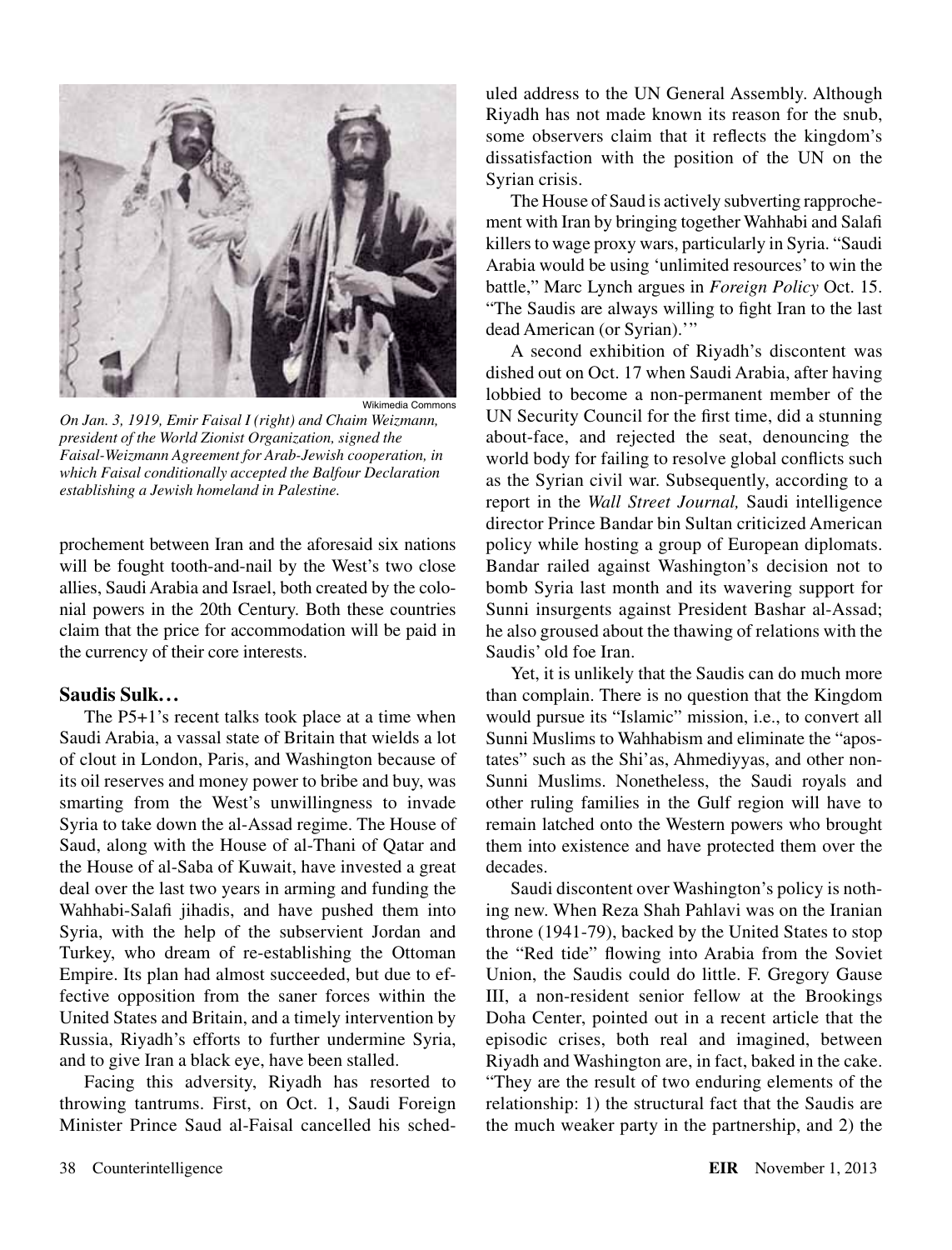

Wikimedia Commons

*On Jan. 3, 1919, Emir Faisal I (right) and Chaim Weizmann, president of the World Zionist Organization, signed the Faisal-Weizmann Agreement for Arab-Jewish cooperation, in which Faisal conditionally accepted the Balfour Declaration establishing a Jewish homeland in Palestine.*

prochement between Iran and the aforesaid six nations will be fought tooth-and-nail by the West's two close allies, Saudi Arabia and Israel, both created by the colonial powers in the 20th Century. Both these countries claim that the price for accommodation will be paid in the currency of their core interests.

#### **Saudis Sulk...**

The P5+1's recent talks took place at a time when Saudi Arabia, a vassal state of Britain that wields a lot of clout in London, Paris, and Washington because of its oil reserves and money power to bribe and buy, was smarting from the West's unwillingness to invade Syria to take down the al-Assad regime. The House of Saud, along with the House of al-Thani of Qatar and the House of al-Saba of Kuwait, have invested a great deal over the last two years in arming and funding the Wahhabi-Salafi jihadis, and have pushed them into Syria, with the help of the subservient Jordan and Turkey, who dream of re-establishing the Ottoman Empire. Its plan had almost succeeded, but due to effective opposition from the saner forces within the United States and Britain, and a timely intervention by Russia, Riyadh's efforts to further undermine Syria, and to give Iran a black eye, have been stalled.

Facing this adversity, Riyadh has resorted to throwing tantrums. First, on Oct. 1, Saudi Foreign Minister Prince Saud al-Faisal cancelled his sched-

uled address to the UN General Assembly. Although Riyadh has not made known its reason for the snub, some observers claim that it reflects the kingdom's dissatisfaction with the position of the UN on the Syrian crisis.

The House of Saud is actively subverting rapprochement with Iran by bringing together Wahhabi and Salafi killers to wage proxy wars, particularly in Syria. "Saudi Arabia would be using 'unlimited resources' to win the battle," Marc Lynch argues in *Foreign Policy* Oct. 15. "The Saudis are always willing to fight Iran to the last dead American (or Syrian).'"

A second exhibition of Riyadh's discontent was dished out on Oct. 17 when Saudi Arabia, after having lobbied to become a non-permanent member of the UN Security Council for the first time, did a stunning about-face, and rejected the seat, denouncing the world body for failing to resolve global conflicts such as the Syrian civil war. Subsequently, according to a report in the *Wall Street Journal,* Saudi intelligence director Prince Bandar bin Sultan criticized American policy while hosting a group of European diplomats. Bandar railed against Washington's decision not to bomb Syria last month and its wavering support for Sunni insurgents against President Bashar al-Assad; he also groused about the thawing of relations with the Saudis' old foe Iran.

Yet, it is unlikely that the Saudis can do much more than complain. There is no question that the Kingdom would pursue its "Islamic" mission, i.e., to convert all Sunni Muslims to Wahhabism and eliminate the "apostates" such as the Shi'as, Ahmediyyas, and other non-Sunni Muslims. Nonetheless, the Saudi royals and other ruling families in the Gulf region will have to remain latched onto the Western powers who brought them into existence and have protected them over the decades.

Saudi discontent over Washington's policy is nothing new. When Reza Shah Pahlavi was on the Iranian throne (1941-79), backed by the United States to stop the "Red tide" flowing into Arabia from the Soviet Union, the Saudis could do little. F. Gregory Gause III, a non-resident senior fellow at the Brookings Doha Center, pointed out in a recent article that the episodic crises, both real and imagined, between Riyadh and Washington are, in fact, baked in the cake. "They are the result of two enduring elements of the relationship: 1) the structural fact that the Saudis are the much weaker party in the partnership, and 2) the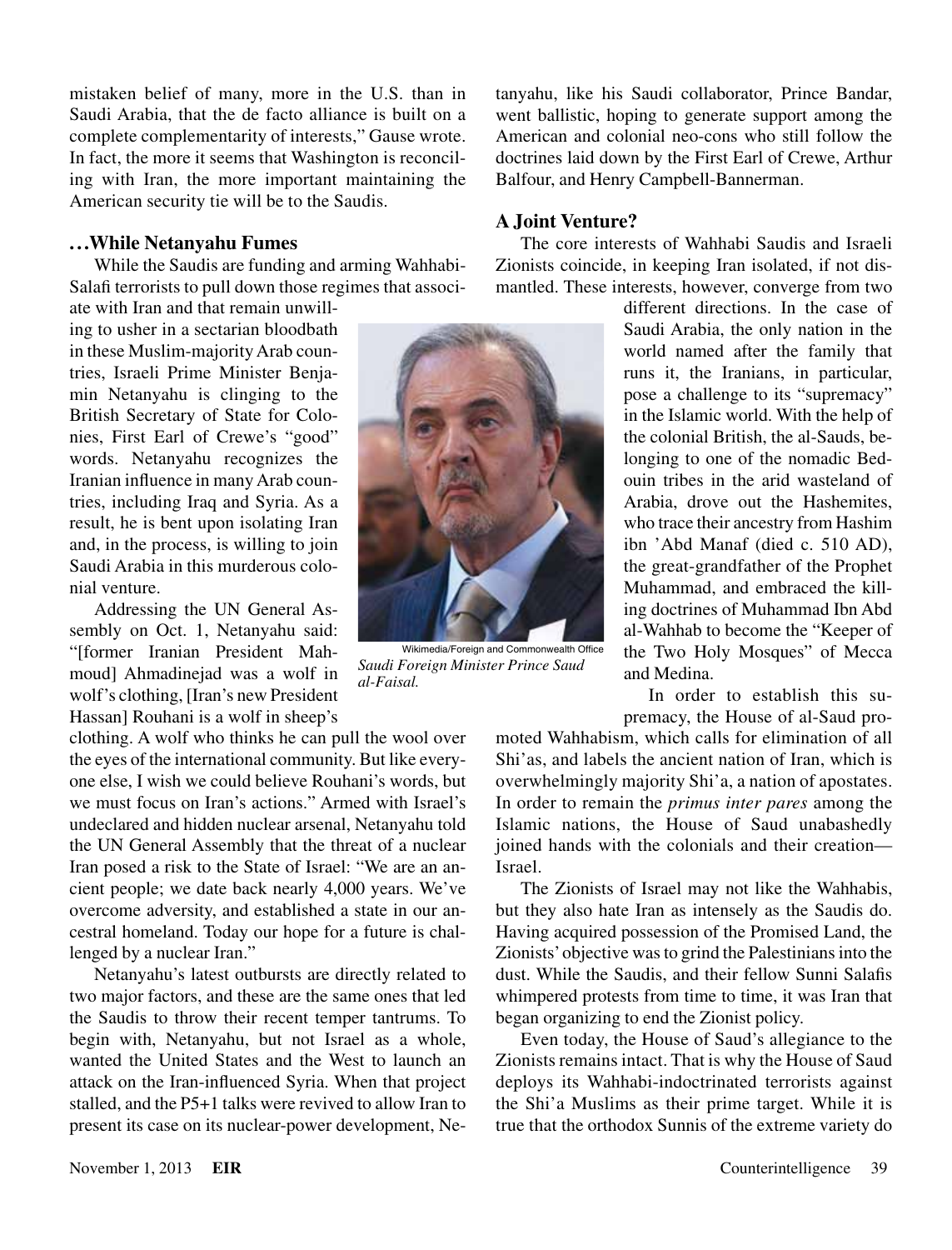mistaken belief of many, more in the U.S. than in Saudi Arabia, that the de facto alliance is built on a complete complementarity of interests," Gause wrote. In fact, the more it seems that Washington is reconciling with Iran, the more important maintaining the American security tie will be to the Saudis.

#### **...While Netanyahu Fumes**

While the Saudis are funding and arming Wahhabi-Salafi terrorists to pull down those regimes that associ-

ate with Iran and that remain unwilling to usher in a sectarian bloodbath in these Muslim-majority Arab countries, Israeli Prime Minister Benjamin Netanyahu is clinging to the British Secretary of State for Colonies, First Earl of Crewe's "good" words. Netanyahu recognizes the Iranian influence in many Arab countries, including Iraq and Syria. As a result, he is bent upon isolating Iran and, in the process, is willing to join Saudi Arabia in this murderous colonial venture.

Addressing the UN General Assembly on Oct. 1, Netanyahu said: "[former Iranian President Mahmoud] Ahmadinejad was a wolf in wolf's clothing, [Iran's new President Hassan] Rouhani is a wolf in sheep's

clothing. A wolf who thinks he can pull the wool over the eyes of the international community. But like everyone else, I wish we could believe Rouhani's words, but we must focus on Iran's actions." Armed with Israel's undeclared and hidden nuclear arsenal, Netanyahu told the UN General Assembly that the threat of a nuclear Iran posed a risk to the State of Israel: "We are an ancient people; we date back nearly 4,000 years. We've overcome adversity, and established a state in our ancestral homeland. Today our hope for a future is challenged by a nuclear Iran."

Netanyahu's latest outbursts are directly related to two major factors, and these are the same ones that led the Saudis to throw their recent temper tantrums. To begin with, Netanyahu, but not Israel as a whole, wanted the United States and the West to launch an attack on the Iran-influenced Syria. When that project stalled, and the P5+1 talks were revived to allow Iran to present its case on its nuclear-power development, Ne-



Wikimedia/Foreign and Commonwealth Office *Saudi Foreign Minister Prince Saud al-Faisal.*

tanyahu, like his Saudi collaborator, Prince Bandar, went ballistic, hoping to generate support among the American and colonial neo-cons who still follow the doctrines laid down by the First Earl of Crewe, Arthur Balfour, and Henry Campbell-Bannerman.

### **A Joint Venture?**

The core interests of Wahhabi Saudis and Israeli Zionists coincide, in keeping Iran isolated, if not dismantled. These interests, however, converge from two

different directions. In the case of Saudi Arabia, the only nation in the world named after the family that runs it, the Iranians, in particular, pose a challenge to its "supremacy" in the Islamic world. With the help of the colonial British, the al-Sauds, belonging to one of the nomadic Bedouin tribes in the arid wasteland of Arabia, drove out the Hashemites, who trace their ancestry from Hashim ibn 'Abd Manaf (died c. 510 AD), the great-grandfather of the Prophet Muhammad, and embraced the killing doctrines of Muhammad Ibn Abd al-Wahhab to become the "Keeper of the Two Holy Mosques" of Mecca and Medina.

In order to establish this supremacy, the House of al-Saud pro-

moted Wahhabism, which calls for elimination of all Shi'as, and labels the ancient nation of Iran, which is overwhelmingly majority Shi'a, a nation of apostates. In order to remain the *primus inter pares* among the Islamic nations, the House of Saud unabashedly joined hands with the colonials and their creation— Israel.

The Zionists of Israel may not like the Wahhabis, but they also hate Iran as intensely as the Saudis do. Having acquired possession of the Promised Land, the Zionists' objective was to grind the Palestinians into the dust. While the Saudis, and their fellow Sunni Salafis whimpered protests from time to time, it was Iran that began organizing to end the Zionist policy.

Even today, the House of Saud's allegiance to the Zionists remains intact. That is why the House of Saud deploys its Wahhabi-indoctrinated terrorists against the Shi'a Muslims as their prime target. While it is true that the orthodox Sunnis of the extreme variety do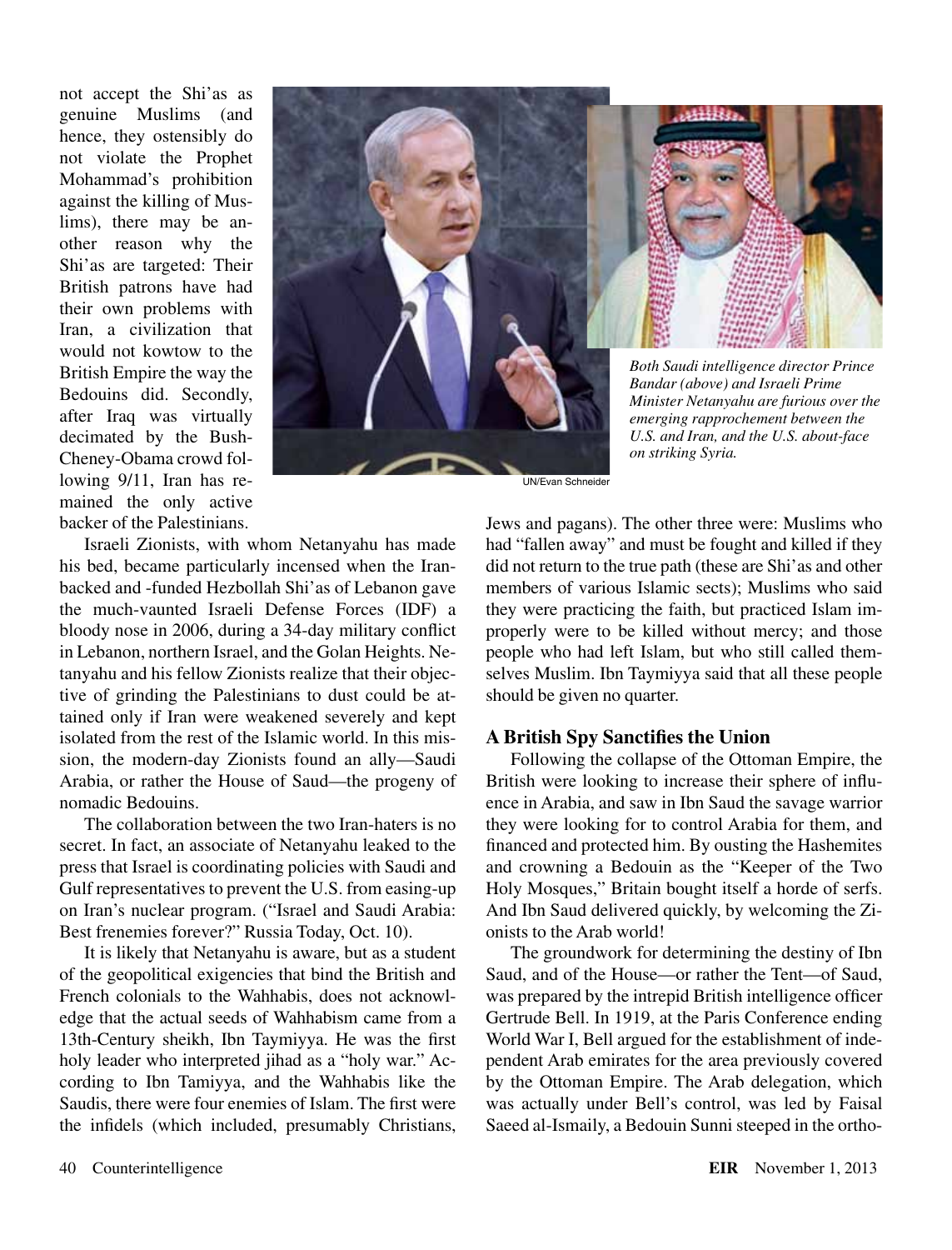not accept the Shi'as as genuine Muslims (and hence, they ostensibly do not violate the Prophet Mohammad's prohibition against the killing of Muslims), there may be another reason why the Shi'as are targeted: Their British patrons have had their own problems with Iran, a civilization that would not kowtow to the British Empire the way the Bedouins did. Secondly, after Iraq was virtually decimated by the Bush-Cheney-Obama crowd following 9/11, Iran has remained the only active backer of the Palestinians.





*on striking Syria.*

UN/Evan Schneider

Israeli Zionists, with whom Netanyahu has made his bed, became particularly incensed when the Iranbacked and -funded Hezbollah Shi'as of Lebanon gave the much-vaunted Israeli Defense Forces (IDF) a bloody nose in 2006, during a 34-day military conflict in Lebanon, northern Israel, and the Golan Heights. Netanyahu and his fellow Zionists realize that their objective of grinding the Palestinians to dust could be attained only if Iran were weakened severely and kept isolated from the rest of the Islamic world. In this mission, the modern-day Zionists found an ally—Saudi Arabia, or rather the House of Saud—the progeny of nomadic Bedouins.

The collaboration between the two Iran-haters is no secret. In fact, an associate of Netanyahu leaked to the press that Israel is coordinating policies with Saudi and Gulf representatives to prevent the U.S. from easing-up on Iran's nuclear program. ("Israel and Saudi Arabia: Best frenemies forever?" Russia Today, Oct. 10).

It is likely that Netanyahu is aware, but as a student of the geopolitical exigencies that bind the British and French colonials to the Wahhabis, does not acknowledge that the actual seeds of Wahhabism came from a 13th-Century sheikh, Ibn Taymiyya. He was the first holy leader who interpreted jihad as a "holy war." According to Ibn Tamiyya, and the Wahhabis like the Saudis, there were four enemies of Islam. The first were the infidels (which included, presumably Christians, Jews and pagans). The other three were: Muslims who had "fallen away" and must be fought and killed if they did not return to the true path (these are Shi'as and other members of various Islamic sects); Muslims who said they were practicing the faith, but practiced Islam improperly were to be killed without mercy; and those people who had left Islam, but who still called themselves Muslim. Ibn Taymiyya said that all these people should be given no quarter.

#### **A British Spy Sanctifies the Union**

Following the collapse of the Ottoman Empire, the British were looking to increase their sphere of influence in Arabia, and saw in Ibn Saud the savage warrior they were looking for to control Arabia for them, and financed and protected him. By ousting the Hashemites and crowning a Bedouin as the "Keeper of the Two Holy Mosques," Britain bought itself a horde of serfs. And Ibn Saud delivered quickly, by welcoming the Zionists to the Arab world!

The groundwork for determining the destiny of Ibn Saud, and of the House—or rather the Tent—of Saud, was prepared by the intrepid British intelligence officer Gertrude Bell. In 1919, at the Paris Conference ending World War I, Bell argued for the establishment of independent Arab emirates for the area previously covered by the Ottoman Empire. The Arab delegation, which was actually under Bell's control, was led by Faisal Saeed al-Ismaily, a Bedouin Sunni steeped in the ortho-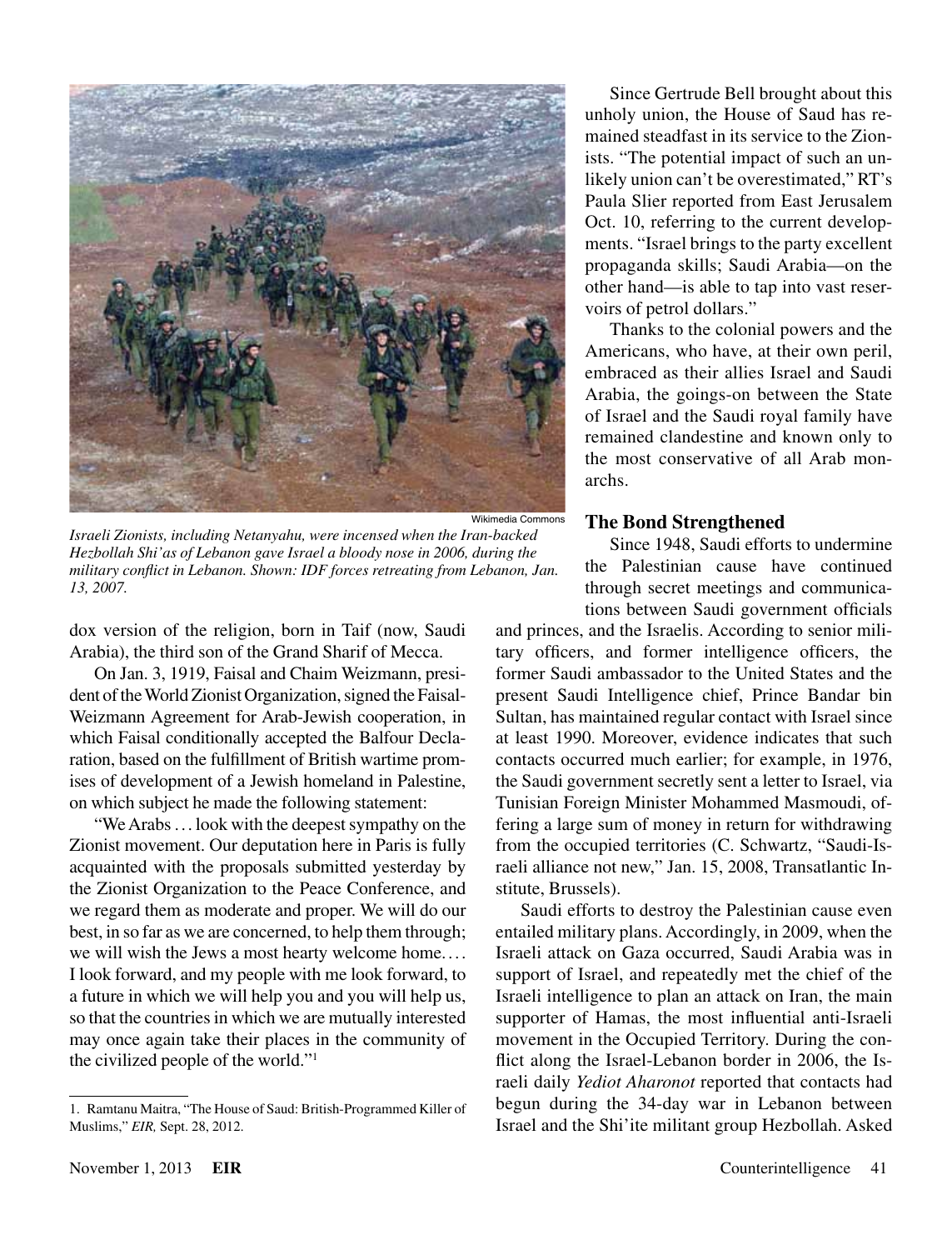

*Israeli Zionists, including Netanyahu, were incensed when the Iran-backed Hezbollah Shi'as of Lebanon gave Israel a bloody nose in 2006, during the military conflict in Lebanon. Shown: IDF forces retreating from Lebanon, Jan. 13, 2007.*

dox version of the religion, born in Taif (now, Saudi Arabia), the third son of the Grand Sharif of Mecca.

On Jan. 3, 1919, Faisal and Chaim Weizmann, president of the World Zionist Organization, signed the Faisal-Weizmann Agreement for Arab-Jewish cooperation, in which Faisal conditionally accepted the Balfour Declaration, based on the fulfillment of British wartime promises of development of a Jewish homeland in Palestine, on which subject he made the following statement:

"We Arabs ... look with the deepest sympathy on the Zionist movement. Our deputation here in Paris is fully acquainted with the proposals submitted yesterday by the Zionist Organization to the Peace Conference, and we regard them as moderate and proper. We will do our best, in so far as we are concerned, to help them through; we will wish the Jews a most hearty welcome home.... I look forward, and my people with me look forward, to a future in which we will help you and you will help us, so that the countries in which we are mutually interested may once again take their places in the community of the civilized people of the world."1

Since Gertrude Bell brought about this unholy union, the House of Saud has remained steadfast in its service to the Zionists. "The potential impact of such an unlikely union can't be overestimated," RT's Paula Slier reported from East Jerusalem Oct. 10, referring to the current developments. "Israel brings to the party excellent propaganda skills; Saudi Arabia—on the other hand—is able to tap into vast reservoirs of petrol dollars."

Thanks to the colonial powers and the Americans, who have, at their own peril, embraced as their allies Israel and Saudi Arabia, the goings-on between the State of Israel and the Saudi royal family have remained clandestine and known only to the most conservative of all Arab monarchs.

#### **The Bond Strengthened**

Since 1948, Saudi efforts to undermine the Palestinian cause have continued through secret meetings and communications between Saudi government officials

and princes, and the Israelis. According to senior military officers, and former intelligence officers, the former Saudi ambassador to the United States and the present Saudi Intelligence chief, Prince Bandar bin Sultan, has maintained regular contact with Israel since at least 1990. Moreover, evidence indicates that such contacts occurred much earlier; for example, in 1976, the Saudi government secretly sent a letter to Israel, via Tunisian Foreign Minister Mohammed Masmoudi, offering a large sum of money in return for withdrawing from the occupied territories (C. Schwartz, "Saudi-Israeli alliance not new," Jan. 15, 2008, Transatlantic Institute, Brussels).

Saudi efforts to destroy the Palestinian cause even entailed military plans. Accordingly, in 2009, when the Israeli attack on Gaza occurred, Saudi Arabia was in support of Israel, and repeatedly met the chief of the Israeli intelligence to plan an attack on Iran, the main supporter of Hamas, the most influential anti-Israeli movement in the Occupied Territory. During the conflict along the Israel-Lebanon border in 2006, the Israeli daily *Yediot Aharonot* reported that contacts had begun during the 34-day war in Lebanon between Israel and the Shi'ite militant group Hezbollah. Asked

<sup>1.</sup> Ramtanu Maitra, "The House of Saud: British-Programmed Killer of Muslims," *EIR,* Sept. 28, 2012.